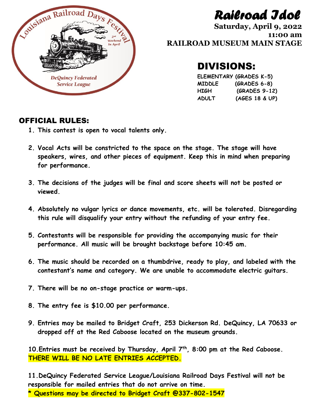## *Railroad Idol*

**Saturday, April 9, 2022 11:00 am RAILROAD MUSEUM MAIN STAGE**

### DIVISIONS:

**ELEMENTARY (GRADES K-5) MIDDLE (GRADES 6-8) HIGH (GRADES 9-12) ADULT (AGES 18 & UP)**

#### OFFICIAL RULES:

- **1. This contest is open to vocal talents only.**
- **2. Vocal Acts will be constricted to the space on the stage. The stage will have speakers, wires, and other pieces of equipment. Keep this in mind when preparing for performance.**
- **3. The decisions of the judges will be final and score sheets will not be posted or viewed.**
- **4. Absolutely no vulgar lyrics or dance movements, etc. will be tolerated. Disregarding this rule will disqualify your entry without the refunding of your entry fee.**
- **5. Contestants will be responsible for providing the accompanying music for their performance. All music will be brought backstage before 10:45 am.**
- **6. The music should be recorded on a thumbdrive, ready to play, and labeled with the contestant's name and category. We are unable to accommodate electric guitars.**
- **7. There will be no on-stage practice or warm-ups.**
- **8. The entry fee is \$10.00 per performance.**
- **9. Entries may be mailed to Bridget Craft, 253 Dickerson Rd. DeQuincy, LA 70633 or dropped off at the Red Caboose located on the museum grounds.**

**10.Entries must be received by Thursday, April 7 th , 8:00 pm at the Red Caboose. THERE WILL BE NO LATE ENTRIES ACCEPTED.**

**11.DeQuincy Federated Service League/Louisiana Railroad Days Festival will not be responsible for mailed entries that do not arrive on time. \* Questions may be directed to Bridget Craft @337-802-1547**